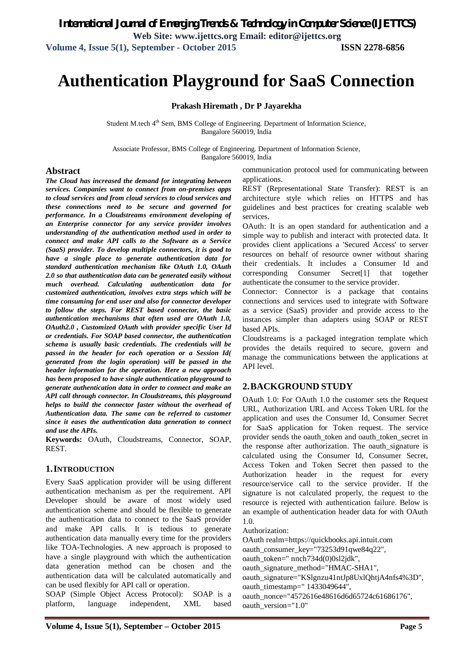# **Authentication Playground for SaaS Connection**

#### **Prakash Hiremath , Dr P Jayarekha**

Student M.tech 4<sup>th</sup> Sem, BMS College of Engineering. Department of Information Science, Bangalore 560019, India

Associate Professor, BMS College of Engineering. Department of Information Science, Bangalore 560019, India

#### **Abstract**

*The Cloud has increased the demand for integrating between services. Companies want to connect from on-premises apps to cloud services and from cloud services to cloud services and these connections need to be secure and governed for performance. In a Cloudstreams environment developing of an Enterprise connector for any service provider involves understanding of the authentication method used in order to connect and make API calls to the Software as a Service (SaaS) provider. To develop multiple connectors, it is good to have a single place to generate authentication data for standard authentication mechanism like OAuth 1.0, OAuth 2.0 so that authentication data can be generated easily without much overhead. Calculating authentication data for customized authentication, involves extra steps which will be time consuming for end user and also for connector developer to follow the steps. For REST based connector, the basic authentication mechanisms that often used are OAuth 1.0, OAuth2.0 , Customized OAuth with provider specific User Id or credentials. For SOAP based connector, the authentication schema is usually basic credentials. The credentials will be passed in the header for each operation or a Session Id( generated from the login operation) will be passed in the header information for the operation. Here a new approach has been proposed to have single authentication playground to generate authentication data in order to connect and make an API call through connector. In Cloudstreams, this playground helps to build the connector faster without the overhead of Authentication data. The same can be referred to customer since it eases the authentication data generation to connect and use the APIs.*

**Keywords:** OAuth, Cloudstreams, Connector, SOAP, REST.

#### **1.INTRODUCTION**

Every SaaS application provider will be using different authentication mechanism as per the requirement. API Developer should be aware of most widely used authentication scheme and should be flexible to generate the authentication data to connect to the SaaS provider and make API calls. It is tedious to generate authentication data manually every time for the providers like TOA-Technologies. A new approach is proposed to have a single playground with which the authentication data generation method can be chosen and the authentication data will be calculated automatically and can be used flexibly for API call or operation.

SOAP (Simple Object Access Protocol): SOAP is a platform, language independent, XML based communication protocol used for communicating between applications.

REST (Representational State Transfer): REST is an architecture style which relies on HTTPS and has guidelines and best practices for creating scalable web services.

OAuth: It is an open standard for authentication and a simple way to publish and interact with protected data. It provides client applications a 'Secured Access' to server resources on behalf of resource owner without sharing their credentials. It includes a Consumer Id and corresponding Consumer Secret[1] that together authenticate the consumer to the service provider.

Connector: Connector is a package that contains connections and services used to integrate with Software as a service (SaaS) provider and provide access to the instances simpler than adapters using SOAP or REST based APIs.

Cloudstreams is a packaged integration template which provides the details required to secure, govern and manage the communications between the applications at API level.

#### **2.BACKGROUND STUDY**

OAuth 1.0: For OAuth 1.0 the customer sets the Request URL, Authorization URL and Access Token URL for the application and uses the Consumer Id, Consumer Secret for SaaS application for Token request. The service provider sends the oauth\_token and oauth\_token\_secret in the response after authorization. The oauth\_signature is calculated using the Consumer Id, Consumer Secret, Access Token and Token Secret then passed to the Authorization header in the request for every resource/service call to the service provider. If the signature is not calculated properly, the request to the resource is rejected with authentication failure. Below is an example of authentication header data for with OAuth 1.0.

Authorization:

OAuth realm=https://quickbooks.api.intuit.com

oauth\_consumer\_key="73253d91qwe84q22",

oauth\_token=" nnch734d(0)0sl2jdk",

oauth\_signature\_method="HMAC-SHA1",

oauth\_signature="KSlgnzu41ntJp8UxlQhtjA4nfs4%3D",

oauth\_timestamp=" 1433049644",

oauth\_nonce="4572616e48616d6d65724c61686176", oauth\_version="1.0"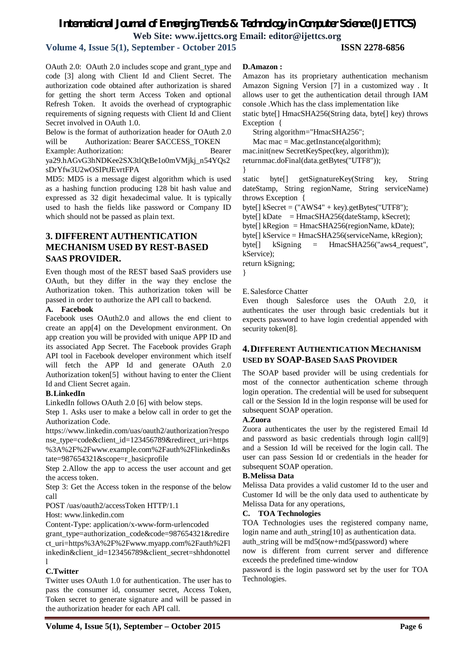# *International Journal of Emerging Trends & Technology in Computer Science (IJETTCS)*

**Web Site: www.ijettcs.org Email: editor@ijettcs.org** 

**Volume 4, Issue 5(1), September - October 2015 ISSN 2278-6856**

OAuth 2.0: OAuth 2.0 includes scope and grant\_type and code [3] along with Client Id and Client Secret. The authorization code obtained after authorization is shared for getting the short term Access Token and optional Refresh Token. It avoids the overhead of cryptographic requirements of signing requests with Client Id and Client Secret involved in OAuth 1.0.

Below is the format of authorization header for OAuth 2.0 will be Authorization: Bearer \$ACCESS\_TOKEN

Example: Authorization: Bearer ya29.hAGvG3hNDKee2SX3tlQtBe1o0mVMjkj\_n54YQs2 sDrYfw3U2wOSIPtJEvrtFPA

MD5: MD5 is a message digest algorithm which is used as a hashing function producing 128 bit hash value and expressed as 32 digit hexadecimal value. It is typically used to hash the fields like password or Company ID which should not be passed as plain text.

# **3. DIFFERENT AUTHENTICATION MECHANISM USED BY REST-BASED SAAS PROVIDER.**

Even though most of the REST based SaaS providers use OAuth, but they differ in the way they enclose the Authorization token. This authorization token will be passed in order to authorize the API call to backend.

#### **A. Facebook**

Facebook uses OAuth2.0 and allows the end client to create an app[4] on the Development environment. On app creation you will be provided with unique APP ID and its associated App Secret. The Facebook provides Graph API tool in Facebook developer environment which itself will fetch the APP Id and generate OAuth 2.0 Authorization token[5] without having to enter the Client Id and Client Secret again.

#### **B.LinkedIn**

LinkedIn follows OAuth 2.0 [6] with below steps.

Step 1. Asks user to make a below call in order to get the Authorization Code.

https://www.linkedin.com/uas/oauth2/authorization?respo nse type=code&client\_id=123456789&redirect\_uri=https %3A%2F%2Fwww.example.com%2Fauth%2Flinkedin&s tate=987654321&scope=r\_basicprofile

Step 2.Allow the app to access the user account and get the access token.

Step 3: Get the Access token in the response of the below call

POST /uas/oauth2/accessToken HTTP/1.1

Host: www.linkedin.com

Content-Type: application/x-www-form-urlencoded

grant\_type=authorization\_code&code=987654321&redire ct\_uri=https%3A%2F%2Fwww.myapp.com%2Fauth%2Fl inkedin&client\_id=123456789&client\_secret=shhdonottel l

#### **C.Twitter**

Twitter uses OAuth 1.0 for authentication. The user has to pass the consumer id, consumer secret, Access Token, Token secret to generate signature and will be passed in the authorization header for each API call.

#### **D.Amazon :**

Amazon has its proprietary authentication mechanism Amazon Signing Version [7] in a customized way . It allows user to get the authentication detail through IAM console .Which has the class implementation like static byte[] HmacSHA256(String data, byte[] key) throws

Exception {

String algorithm="HmacSHA256";

Mac mac = Mac.getInstance(algorithm); mac.init(new SecretKeySpec(key, algorithm)); returnmac.doFinal(data.getBytes("UTF8")); }

static byte[] getSignatureKey(String key, String dateStamp, String regionName, String serviceName) throws Exception {

byte[] kSecret = ("AWS4" + key).getBytes("UTF8");

```
byte[] kDate = HmacSHA256(dateStamp, kSecret);
```
byte[] kRegion = HmacSHA256(regionName, kDate);

byte[] kService = HmacSHA256(serviceName, kRegion);

byte[] kSigning = HmacSHA256("aws4 request", kService);

return kSigning;

}

#### E.Salesforce Chatter

Even though Salesforce uses the OAuth 2.0, it authenticates the user through basic credentials but it expects password to have login credential appended with security token[8].

## **4.DIFFERENT AUTHENTICATION MECHANISM USED BY SOAP-BASED SAAS PROVIDER**

The SOAP based provider will be using credentials for most of the connector authentication scheme through login operation. The credential will be used for subsequent call or the Session Id in the login response will be used for subsequent SOAP operation.

#### **A.Zuora**

Zuora authenticates the user by the registered Email Id and password as basic credentials through login call[9] and a Session Id will be received for the login call. The user can pass Session Id or credentials in the header for subsequent SOAP operation.

#### **B.Melissa Data**

Melissa Data provides a valid customer Id to the user and Customer Id will be the only data used to authenticate by Melissa Data for any operations,

#### **C. TOA Technologies**

TOA Technologies uses the registered company name, login name and auth\_string[10] as authentication data.

auth\_string will be md5(now+md5(password) where

now is different from current server and difference exceeds the predefined time-window

password is the login password set by the user for TOA Technologies.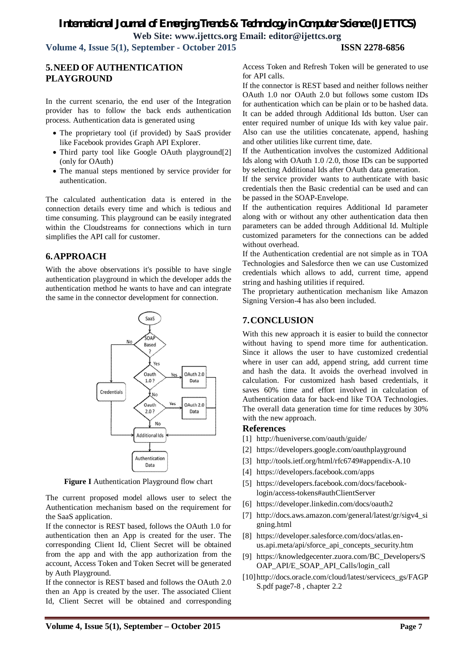# *International Journal of Emerging Trends & Technology in Computer Science (IJETTCS)* **Web Site: www.ijettcs.org Email: editor@ijettcs.org**

**Volume 4, Issue 5(1), September - October 2015 ISSN 2278-6856**

# **5.NEED OF AUTHENTICATION PLAYGROUND**

In the current scenario, the end user of the Integration provider has to follow the back ends authentication process. Authentication data is generated using

- The proprietary tool (if provided) by SaaS provider like Facebook provides Graph API Explorer.
- Third party tool like Google OAuth playground[2] (only for OAuth)
- The manual steps mentioned by service provider for authentication.

The calculated authentication data is entered in the connection details every time and which is tedious and time consuming. This playground can be easily integrated within the Cloudstreams for connections which in turn simplifies the API call for customer.

# **6.APPROACH**

With the above observations it's possible to have single authentication playground in which the developer adds the authentication method he wants to have and can integrate the same in the connector development for connection.



**Figure I** Authentication Playground flow chart

The current proposed model allows user to select the Authentication mechanism based on the requirement for the SaaS application.

If the connector is REST based, follows the OAuth 1.0 for authentication then an App is created for the user. The corresponding Client Id, Client Secret will be obtained from the app and with the app authorization from the account, Access Token and Token Secret will be generated by Auth Playground.

If the connector is REST based and follows the OAuth 2.0 then an App is created by the user. The associated Client Id, Client Secret will be obtained and corresponding Access Token and Refresh Token will be generated to use for API calls.

If the connector is REST based and neither follows neither OAuth 1.0 nor OAuth 2.0 but follows some custom IDs for authentication which can be plain or to be hashed data. It can be added through Additional Ids button. User can enter required number of unique Ids with key value pair. Also can use the utilities concatenate, append, hashing and other utilities like current time, date.

If the Authentication involves the customized Additional Ids along with OAuth 1.0 /2.0, those IDs can be supported by selecting Additional Ids after OAuth data generation.

If the service provider wants to authenticate with basic credentials then the Basic credential can be used and can be passed in the SOAP-Envelope.

If the authentication requires Additional Id parameter along with or without any other authentication data then parameters can be added through Additional Id. Multiple customized parameters for the connections can be added without overhead.

If the Authentication credential are not simple as in TOA Technologies and Salesforce then we can use Customized credentials which allows to add, current time, append string and hashing utilities if required.

The proprietary authentication mechanism like Amazon Signing Version-4 has also been included.

## **7.CONCLUSION**

With this new approach it is easier to build the connector without having to spend more time for authentication. Since it allows the user to have customized credential where in user can add, append string, add current time and hash the data. It avoids the overhead involved in calculation. For customized hash based credentials, it saves 60% time and effort involved in calculation of Authentication data for back-end like TOA Technologies. The overall data generation time for time reduces by 30% with the new approach.

#### **References**

- [1] http://hueniverse.com/oauth/guide/
- [2] https://developers.google.com/oauthplayground
- [3] http://tools.ietf.org/html/rfc6749#appendix-A.10
- [4] https://developers.facebook.com/apps
- [5] https://developers.facebook.com/docs/facebooklogin/access-tokens#authClientServer
- [6] https://developer.linkedin.com/docs/oauth2
- [7] http://docs.aws.amazon.com/general/latest/gr/sigv4\_si gning.html
- [8] https://developer.salesforce.com/docs/atlas.enus.api.meta/api/sforce\_api\_concepts\_security.htm
- [9] https://knowledgecenter.zuora.com/BC\_Developers/S OAP\_API/E\_SOAP\_API\_Calls/login\_call
- [10]http://docs.oracle.com/cloud/latest/servicecs\_gs/FAGP S.pdf page7-8 , chapter 2.2